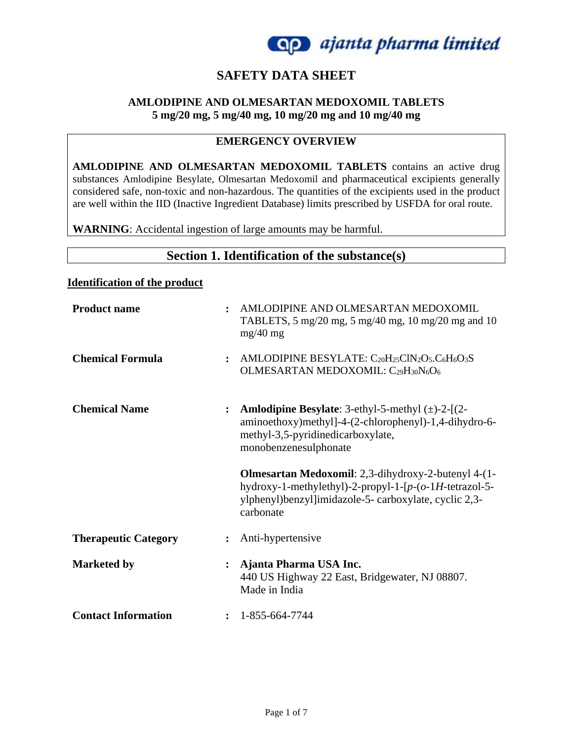

## **SAFETY DATA SHEET**

#### **AMLODIPINE AND OLMESARTAN MEDOXOMIL TABLETS 5 mg/20 mg, 5 mg/40 mg, 10 mg/20 mg and 10 mg/40 mg**

#### **EMERGENCY OVERVIEW**

**AMLODIPINE AND OLMESARTAN MEDOXOMIL TABLETS** contains an active drug substances Amlodipine Besylate, Olmesartan Medoxomil and pharmaceutical excipients generally considered safe, non-toxic and non-hazardous. The quantities of the excipients used in the product are well within the IID (Inactive Ingredient Database) limits prescribed by USFDA for oral route.

**WARNING**: Accidental ingestion of large amounts may be harmful.

## **Section 1. Identification of the substance(s)**

#### **Identification of the product**

| <b>Product name</b><br>$\ddot{\cdot}$     | $mg/40$ mg    | AMLODIPINE AND OLMESARTAN MEDOXOMIL<br>TABLETS, 5 mg/20 mg, 5 mg/40 mg, 10 mg/20 mg and 10                                                                                                       |
|-------------------------------------------|---------------|--------------------------------------------------------------------------------------------------------------------------------------------------------------------------------------------------|
| <b>Chemical Formula</b><br>$\ddot{\cdot}$ |               | AMLODIPINE BESYLATE: C20H25ClN2O5.C6H6O3S<br>OLMESARTAN MEDOXOMIL: C29H30N6O6                                                                                                                    |
| <b>Chemical Name</b>                      |               | <b>Amlodipine Besylate:</b> 3-ethyl-5-methyl $(\pm)$ -2- $[(2-\epsilon)]$<br>aminoethoxy)methyl]-4-(2-chlorophenyl)-1,4-dihydro-6-<br>methyl-3,5-pyridinedicarboxylate,<br>monobenzenesulphonate |
|                                           |               |                                                                                                                                                                                                  |
|                                           | carbonate     | Olmesartan Medoxomil: 2,3-dihydroxy-2-butenyl 4-(1-<br>hydroxy-1-methylethyl)-2-propyl-1- $[p-(o-1)H$ -tetrazol-5-<br>ylphenyl)benzyl]imidazole-5- carboxylate, cyclic 2,3-                      |
| <b>Therapeutic Category</b>               |               | Anti-hypertensive                                                                                                                                                                                |
| <b>Marketed by</b>                        | Made in India | Ajanta Pharma USA Inc.<br>440 US Highway 22 East, Bridgewater, NJ 08807.                                                                                                                         |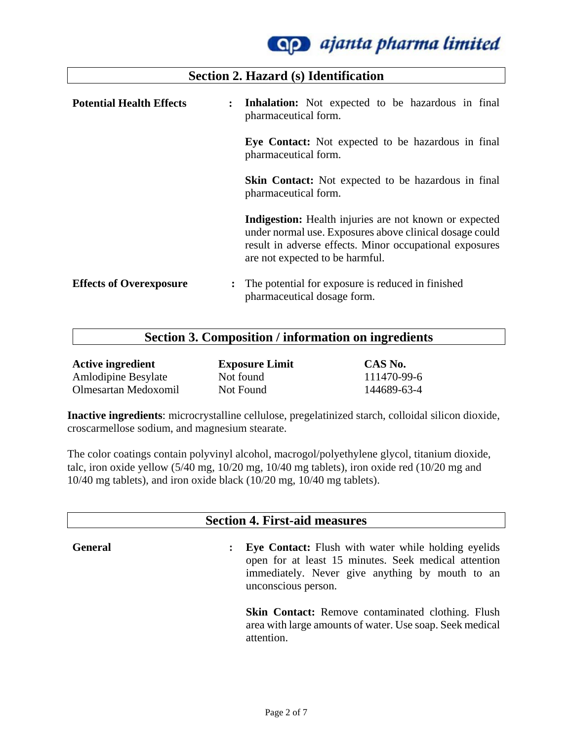

| <b>Potential Health Effects</b><br>$\ddot{\cdot}$ | <b>Inhalation:</b> Not expected to be hazardous in final<br>pharmaceutical form.                                                                                                                                       |
|---------------------------------------------------|------------------------------------------------------------------------------------------------------------------------------------------------------------------------------------------------------------------------|
|                                                   | Eye Contact: Not expected to be hazardous in final<br>pharmaceutical form.                                                                                                                                             |
|                                                   | <b>Skin Contact:</b> Not expected to be hazardous in final<br>pharmaceutical form.                                                                                                                                     |
|                                                   | <b>Indigestion:</b> Health injuries are not known or expected<br>under normal use. Exposures above clinical dosage could<br>result in adverse effects. Minor occupational exposures<br>are not expected to be harmful. |
| <b>Effects of Overexposure</b>                    | The potential for exposure is reduced in finished<br>pharmaceutical dosage form.                                                                                                                                       |

**Section 2. Hazard (s) Identification**

### **Section 3. Composition / information on ingredients**

| <b>Active ingredient</b>   | <b>Exposure Limit</b> | CAS No.     |
|----------------------------|-----------------------|-------------|
| <b>Amlodipine Besylate</b> | Not found             | 111470-99-6 |
| Olmesartan Medoxomil       | Not Found             | 144689-63-4 |

**Inactive ingredients**: microcrystalline cellulose, pregelatinized starch, colloidal silicon dioxide, croscarmellose sodium, and magnesium stearate.

The color coatings contain polyvinyl alcohol, macrogol/polyethylene glycol, titanium dioxide, talc, iron oxide yellow (5/40 mg, 10/20 mg, 10/40 mg tablets), iron oxide red (10/20 mg and 10/40 mg tablets), and iron oxide black (10/20 mg, 10/40 mg tablets).

#### **Section 4. First-aid measures**

**General :** Eye Contact: Flush with water while holding eyelids open for at least 15 minutes. Seek medical attention immediately. Never give anything by mouth to an unconscious person.

> **Skin Contact:** Remove contaminated clothing. Flush area with large amounts of water. Use soap. Seek medical attention.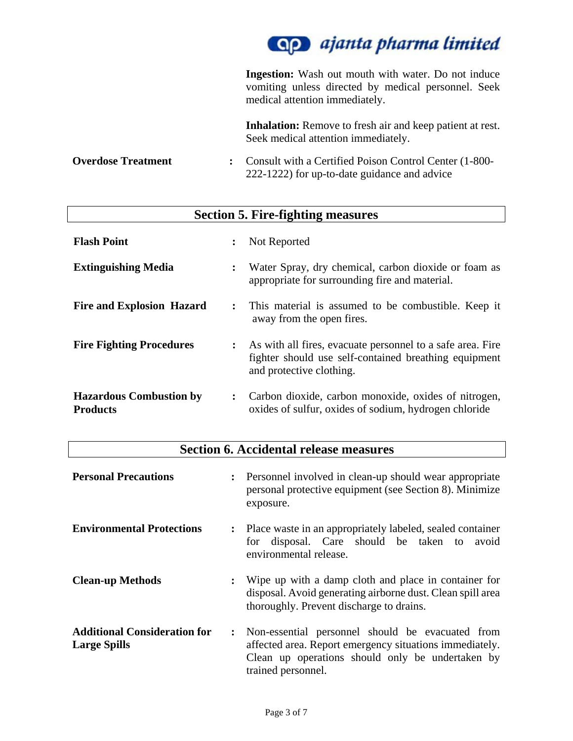

**Ingestion:** Wash out mouth with water. Do not induce vomiting unless directed by medical personnel. Seek medical attention immediately. **Inhalation:** Remove to fresh air and keep patient at rest. Seek medical attention immediately. **Overdose Treatment : Consult with a Certified Poison Control Center (1-800-**222-1222) for up-to-date guidance and advice

| <b>Section 5. Fire-fighting measures</b>          |                      |                                                                                                                                                 |
|---------------------------------------------------|----------------------|-------------------------------------------------------------------------------------------------------------------------------------------------|
| <b>Flash Point</b>                                | :                    | Not Reported                                                                                                                                    |
| <b>Extinguishing Media</b>                        | $\ddot{\cdot}$       | Water Spray, dry chemical, carbon dioxide or foam as<br>appropriate for surrounding fire and material.                                          |
| <b>Fire and Explosion Hazard</b>                  | $\ddot{\phantom{a}}$ | This material is assumed to be combustible. Keep it<br>away from the open fires.                                                                |
| <b>Fire Fighting Procedures</b>                   | $\ddot{\cdot}$       | As with all fires, evacuate personnel to a safe area. Fire<br>fighter should use self-contained breathing equipment<br>and protective clothing. |
| <b>Hazardous Combustion by</b><br><b>Products</b> | $\ddot{\cdot}$       | Carbon dioxide, carbon monoxide, oxides of nitrogen,<br>oxides of sulfur, oxides of sodium, hydrogen chloride                                   |

| <b>Section 6. Accidental release measures</b>              |                                                                                                                                                                                       |  |
|------------------------------------------------------------|---------------------------------------------------------------------------------------------------------------------------------------------------------------------------------------|--|
| <b>Personal Precautions</b>                                | : Personnel involved in clean-up should wear appropriate<br>personal protective equipment (see Section 8). Minimize<br>exposure.                                                      |  |
| <b>Environmental Protections</b>                           | Place waste in an appropriately labeled, sealed container<br>$\ddot{\cdot}$<br>disposal. Care should be taken to<br>avoid<br>for<br>environmental release.                            |  |
| <b>Clean-up Methods</b>                                    | Wipe up with a damp cloth and place in container for<br>$\ddot{\cdot}$<br>disposal. Avoid generating airborne dust. Clean spill area<br>thoroughly. Prevent discharge to drains.      |  |
| <b>Additional Consideration for</b><br><b>Large Spills</b> | Non-essential personnel should be evacuated from<br>affected area. Report emergency situations immediately.<br>Clean up operations should only be undertaken by<br>trained personnel. |  |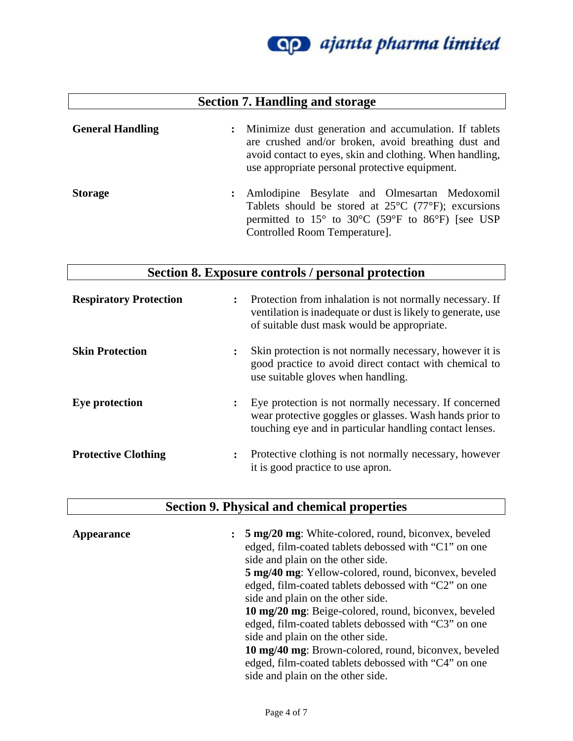

## **Section 7. Handling and storage**

| <b>General Handling</b> |                      | : Minimize dust generation and accumulation. If tablets<br>are crushed and/or broken, avoid breathing dust and<br>avoid contact to eyes, skin and clothing. When handling,<br>use appropriate personal protective equipment. |
|-------------------------|----------------------|------------------------------------------------------------------------------------------------------------------------------------------------------------------------------------------------------------------------------|
| <b>Storage</b>          | $\ddot{\phantom{a}}$ | Amlodipine Besylate and Olmesartan Medoxomil<br>Tablets should be stored at $25^{\circ}$ C (77°F); excursions<br>permitted to 15° to 30°C (59°F to 86°F) [see USP                                                            |

## **Section 8. Exposure controls / personal protection**

Controlled Room Temperature].

| <b>Respiratory Protection</b> | $\ddot{\cdot}$ | Protection from inhalation is not normally necessary. If<br>ventilation is inadequate or dust is likely to generate, use<br>of suitable dust mask would be appropriate.      |
|-------------------------------|----------------|------------------------------------------------------------------------------------------------------------------------------------------------------------------------------|
| <b>Skin Protection</b>        | $\ddot{\cdot}$ | Skin protection is not normally necessary, however it is<br>good practice to avoid direct contact with chemical to<br>use suitable gloves when handling.                     |
| Eye protection                | $\ddot{\cdot}$ | Eye protection is not normally necessary. If concerned<br>wear protective goggles or glasses. Wash hands prior to<br>touching eye and in particular handling contact lenses. |
| <b>Protective Clothing</b>    | $\ddot{\cdot}$ | Protective clothing is not normally necessary, however<br>it is good practice to use apron.                                                                                  |

## **Section 9. Physical and chemical properties**

| Appearance | $\ddot{\cdot}$ | 5 mg/20 mg: White-colored, round, biconvex, beveled<br>edged, film-coated tablets debossed with "C1" on one<br>side and plain on the other side. |
|------------|----------------|--------------------------------------------------------------------------------------------------------------------------------------------------|
|            |                | <b>5 mg/40 mg</b> : Yellow-colored, round, biconvex, beveled                                                                                     |
|            |                | edged, film-coated tablets debossed with "C2" on one                                                                                             |
|            |                | side and plain on the other side.                                                                                                                |
|            |                | 10 mg/20 mg: Beige-colored, round, biconvex, beveled                                                                                             |
|            |                | edged, film-coated tablets debossed with "C3" on one                                                                                             |
|            |                | side and plain on the other side.                                                                                                                |
|            |                | 10 mg/40 mg: Brown-colored, round, biconvex, beveled                                                                                             |
|            |                | edged, film-coated tablets debossed with "C4" on one                                                                                             |
|            |                | side and plain on the other side.                                                                                                                |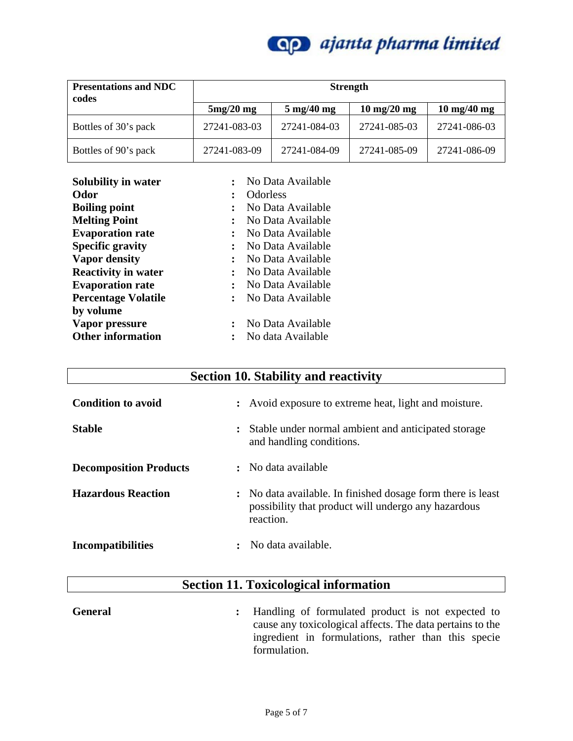

| <b>Presentations and NDC</b><br>codes | <b>Strength</b> |                              |                               |                               |
|---------------------------------------|-----------------|------------------------------|-------------------------------|-------------------------------|
|                                       | $5mg/20$ mg     | $5 \text{ mg}/40 \text{ mg}$ | $10 \text{ mg}/20 \text{ mg}$ | $10 \text{ mg}/40 \text{ mg}$ |
| Bottles of 30's pack                  | 27241-083-03    | 27241-084-03                 | 27241-085-03                  | 27241-086-03                  |
| Bottles of 90's pack                  | 27241-083-09    | 27241-084-09                 | 27241-085-09                  | 27241-086-09                  |

| Solubility in water        | $\cdot$ .            | No Data Available |
|----------------------------|----------------------|-------------------|
| Odor                       | $\ddot{\cdot}$       | <b>Odorless</b>   |
| <b>Boiling point</b>       | $\ddot{\cdot}$       | No Data Available |
| <b>Melting Point</b>       | $\ddot{\cdot}$       | No Data Available |
| <b>Evaporation rate</b>    | $\ddot{\cdot}$       | No Data Available |
| <b>Specific gravity</b>    | $\ddot{\cdot}$       | No Data Available |
| <b>Vapor density</b>       | $\ddot{\phantom{a}}$ | No Data Available |
| <b>Reactivity in water</b> | $\ddot{\cdot}$       | No Data Available |
| <b>Evaporation rate</b>    | $\bullet$            | No Data Available |
| <b>Percentage Volatile</b> | $\ddot{\cdot}$       | No Data Available |
| by volume                  |                      |                   |
| Vapor pressure             | $\ddot{\cdot}$       | No Data Available |
| <b>Other information</b>   | ٠                    | No data Available |

# **Section 10. Stability and reactivity**

| <b>Condition to avoid</b>     | : Avoid exposure to extreme heat, light and moisture.                                                                           |
|-------------------------------|---------------------------------------------------------------------------------------------------------------------------------|
| <b>Stable</b>                 | Stable under normal ambient and anticipated storage<br>$\ddot{\cdot}$<br>and handling conditions.                               |
| <b>Decomposition Products</b> | : No data available                                                                                                             |
| <b>Hazardous Reaction</b>     | : No data available. In finished dosage form there is least<br>possibility that product will undergo any hazardous<br>reaction. |
| <b>Incompatibilities</b>      | No data available.                                                                                                              |

# **Section 11. Toxicological information**

| <b>General</b> | : Handling of formulated product is not expected to       |
|----------------|-----------------------------------------------------------|
|                | cause any toxicological affects. The data pertains to the |
|                | ingredient in formulations, rather than this specie       |
|                | formulation.                                              |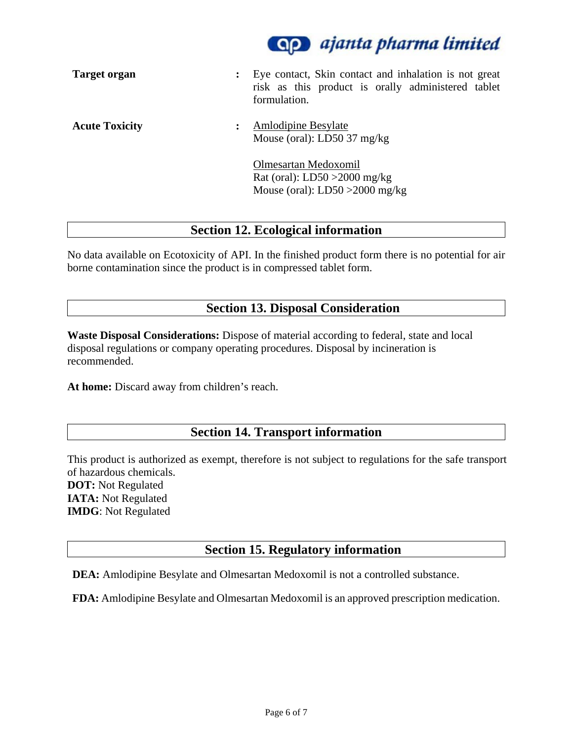

| <b>Target organ</b>   | Eye contact, Skin contact and inhalation is not great<br>risk as this product is orally administered tablet<br>formulation. |
|-----------------------|-----------------------------------------------------------------------------------------------------------------------------|
| <b>Acute Toxicity</b> | <b>Amlodipine Besylate</b><br>Mouse (oral): $LD50$ 37 mg/kg                                                                 |
|                       | Olmesartan Medoxomil<br>Rat (oral): $LD50 > 2000$ mg/kg<br>Mouse (oral): $LD50 > 2000$ mg/kg                                |

### **Section 12. Ecological information**

No data available on Ecotoxicity of API. In the finished product form there is no potential for air borne contamination since the product is in compressed tablet form.

### **Section 13. Disposal Consideration**

**Waste Disposal Considerations:** Dispose of material according to federal, state and local disposal regulations or company operating procedures. Disposal by incineration is recommended.

**At home:** Discard away from children's reach.

### **Section 14. Transport information**

This product is authorized as exempt, therefore is not subject to regulations for the safe transport of hazardous chemicals. **DOT:** Not Regulated **IATA:** Not Regulated **IMDG**: Not Regulated

### **Section 15. Regulatory information**

**DEA:** Amlodipine Besylate and Olmesartan Medoxomil is not a controlled substance.

**FDA:** Amlodipine Besylate and Olmesartan Medoxomil is an approved prescription medication.